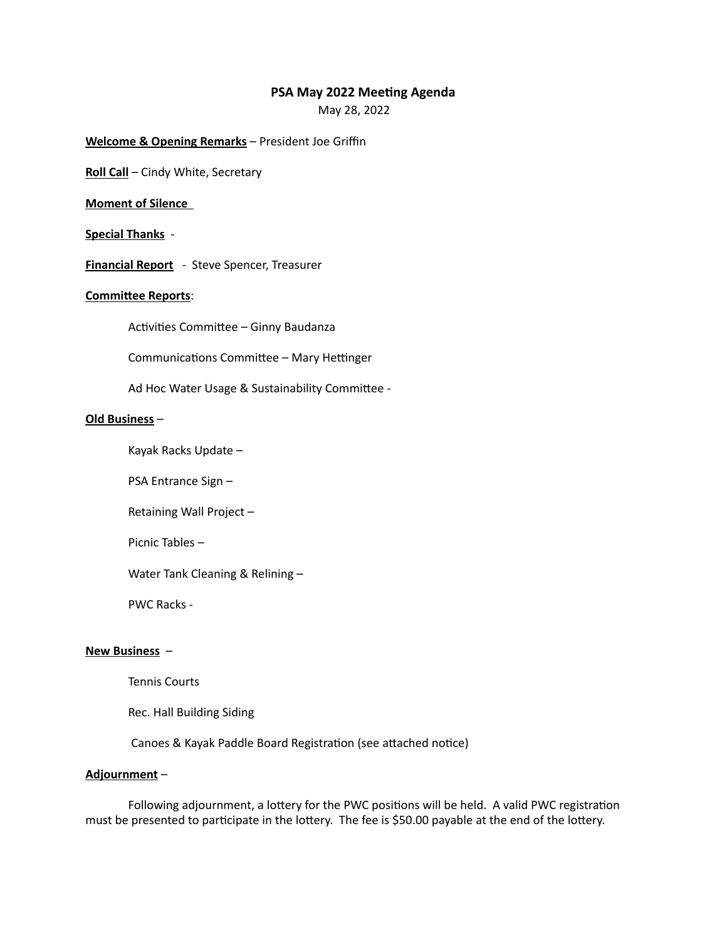# **PSA May 2022 Meeting Agenda**

May 28, 2022

## **Welcome & Opening Remarks** – President Joe Griffin

**Roll Call** – Cindy White, Secretary

## **Moment of Silence**

## **Special Thanks** -

**Financial Report** - Steve Spencer, Treasurer

## **Committee Reports**:

Activities Committee – Ginny Baudanza

Communications Committee – Mary Hettinger

Ad Hoc Water Usage & Sustainability Committee -

#### **Old Business** –

Kayak Racks Update –

PSA Entrance Sign –

Retaining Wall Project –

Picnic Tables –

Water Tank Cleaning & Relining –

PWC Racks -

#### **New Business** –

Tennis Courts

Rec. Hall Building Siding

Canoes & Kayak Paddle Board Registration (see attached notice)

#### **Adjournment** –

Following adjournment, a lottery for the PWC positions will be held. A valid PWC registration must be presented to participate in the lottery. The fee is \$50.00 payable at the end of the lottery.